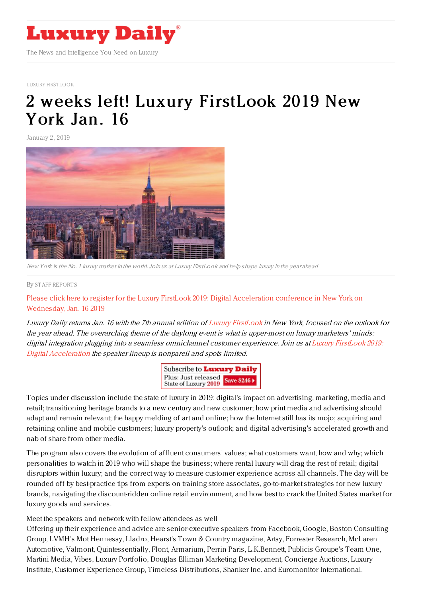

LUXURY [FIRSTLOOK](https://www.luxurydaily.com/luxury-firstlook/)

# 2 weeks left! Luxury [FirstLook](https://www.luxurydaily.com/2-weeks-left-luxury-firstlook-2019-new-york-jan-16-2/) 2019 New York Jan. 16

January 2, 2019



New York is the No. 1 luxury market in the world.Join us at Luxury FirstLook and help shape luxury in the year ahead

#### By STAFF [REPORT](file:///author/staff-reports) S

Please click here to register for the Luxury FirstLook 2019: Digital [Acceleration](https://www.luxurydaily.com/conference-page/) conference in New York on Wednesday, Jan. 16 2019

Luxury Daily returns Jan. 16 with the 7th annual edition of Luxury [FirstLook](https://www.luxurydaily.com/conference-page/) in New York, focused on the outlook for the year ahead. The overarching theme of the daylong event is what is upper-most on luxury marketers' minds: digital integration plugging into <sup>a</sup> seamless omnichannel customer [experience.](https://www.luxurydaily.com/conference-page/) Join us at Luxury FirstLook 2019: Digital Acceleration the speaker lineup is nonpareil and spots limited.

| Subscribe to <b>Luxury Daily</b>                       |  |
|--------------------------------------------------------|--|
| Plus: Just released<br>State of Luxury 2019 Save \$246 |  |

Topics under discussion include the state of luxury in 2019; digital's impact on advertising, marketing, media and retail; transitioning heritage brands to a new century and new customer; how print media and advertising should adapt and remain relevant; the happy melding of art and online; how the Internet still has its mojo; acquiring and retaining online and mobile customers; luxury property's outlook; and digital advertising's accelerated growth and nab of share from other media.

The program also covers the evolution of affluent consumers' values; what customers want, how and why; which personalities to watch in 2019 who will shape the business; where rental luxury will drag the rest of retail; digital disruptors within luxury; and the correct way to measure customer experience across all channels. The day will be rounded off by best-practice tips from experts on training store associates, go-to-market strategies for new luxury brands, navigating the discount-ridden online retail environment, and how best to crack the United States market for luxury goods and services.

Meet the speakers and network with fellow attendees as well

Offering up their experience and advice are senior-executive speakers from Facebook, Google, Boston Consulting Group, LVMH's Mot Hennessy, Lladro, Hearst's Town & Country magazine, Artsy, Forrester Research, McLaren Automotive, Valmont, Quintessentially, Flont, Armarium, Perrin Paris, L.K.Bennett, Publicis Groupe's Team One, Martini Media, Vibes, Luxury Portfolio, Douglas Elliman Marketing Development, Concierge Auctions, Luxury Institute, Customer Experience Group, Timeless Distributions, Shanker Inc. and Euromonitor International.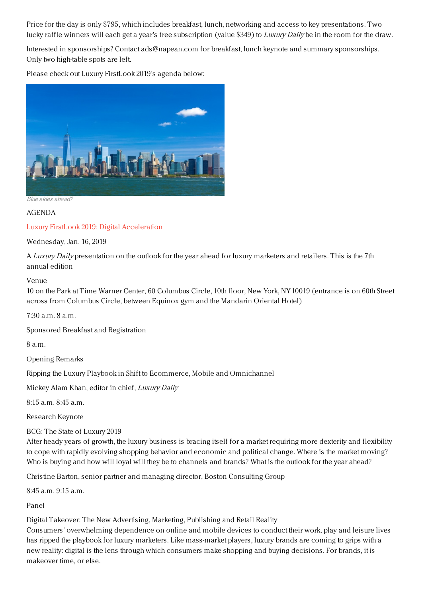Price for the day is only \$795, which includes breakfast, lunch, networking and access to key presentations. Two lucky raffle winners will each get a year's free subscription (value \$349) to Luxury Daily be in the room for the draw.

Interested in sponsorships? Contact ads@napean.com for breakfast, lunch keynote and summary sponsorships. Only two high-table spots are left.

Please check out Luxury FirstLook 2019's agenda below:



Blue skies ahead?

### AGENDA

## Luxury FirstLook 2019: Digital [Acceleration](https://www.luxurydaily.com/conference-page/)

Wednesday, Jan. 16, 2019

A Luxury Daily presentation on the outlook for the year ahead for luxury marketers and retailers. This is the 7th annual edition

#### Venue

10 on the Park at Time Warner Center, 60 Columbus Circle, 10th floor, New York, NY 10019 (entrance is on 60th Street across from Columbus Circle, between Equinox gym and the Mandarin Oriental Hotel)

 $7:30$  a.m.  $8$  a.m.

Sponsored Breakfast and Registration

8 a.m.

Opening Remarks

Ripping the Luxury Playbook in Shift to Ecommerce, Mobile and Omnichannel

Mickey Alam Khan, editor in chief, Luxury Daily

8:15 a.m. 8:45 a.m.

Research Keynote

BCG: The State of Luxury 2019

After heady years of growth, the luxury business is bracing itself for a market requiring more dexterity and flexibility to cope with rapidly evolving shopping behavior and economic and political change. Where is the market moving? Who is buying and how will loyal will they be to channels and brands? What is the outlook for the year ahead?

Christine Barton, senior partner and managing director, Boston Consulting Group

8:45 a.m. 9:15 a.m.

Panel

Digital Takeover: The New Advertising, Marketing, Publishing and Retail Reality

Consumers' overwhelming dependence on online and mobile devices to conduct their work, play and leisure lives has ripped the playbook for luxury marketers. Like mass-market players, luxury brands are coming to grips with a new reality: digital is the lens through which consumers make shopping and buying decisions. For brands, it is makeover time, or else.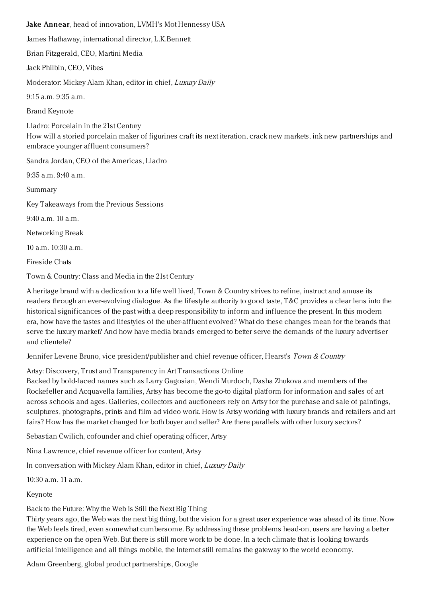Jake Annear, head of innovation, LVMH's Mot Hennessy USA James Hathaway, international director, L.K.Bennett Brian Fitzgerald, CEO, Martini Media Jack Philbin, CEO, Vibes Moderator: Mickey Alam Khan, editor in chief, Luxury Daily 9:15 a.m. 9:35 a.m. Brand Keynote Lladro: Porcelain in the 21st Century How will a storied porcelain maker of figurines craft its next iteration, crack new markets, ink new partnerships and embrace younger affluent consumers? Sandra Jordan, CEO of the Americas, Lladro 9:35 a.m. 9:40 a.m. Summary Key Takeaways from the Previous Sessions 9:40 a.m. 10 a.m. Networking Break 10 a.m. 10:30 a.m.

Fireside Chats

Town & Country: Class and Media in the 21st Century

A heritage brand with a dedication to a life well lived, Town & Country strives to refine, instruct and amuse its readers through an ever-evolving dialogue. As the lifestyle authority to good taste, T&C provides a clear lens into the historical significances of the past with a deep responsibility to inform and influence the present. In this modern era, how have the tastes and lifestyles of the uber-affluent evolved? What do these changes mean for the brands that serve the luxury market? And how have media brands emerged to better serve the demands of the luxury advertiser and clientele?

Jennifer Levene Bruno, vice president/publisher and chief revenue officer, Hearst's Town & Country

Artsy: Discovery, Trust and Transparency in Art Transactions Online

Backed by bold-faced names such as Larry Gagosian, Wendi Murdoch, Dasha Zhukova and members of the Rockefeller and Acquavella families, Artsy has become the go-to digital platform for information and sales of art across schools and ages. Galleries, collectors and auctioneers rely on Artsy for the purchase and sale of paintings, sculptures, photographs, prints and film ad video work. How is Artsy working with luxury brands and retailers and art fairs? How has the market changed for both buyer and seller? Are there parallels with other luxury sectors?

Sebastian Cwilich, cofounder and chief operating officer, Artsy

Nina Lawrence, chief revenue officer for content, Artsy

In conversation with Mickey Alam Khan, editor in chief, Luxury Daily

10:30 a.m. 11 a.m.

Keynote

Back to the Future: Why the Web is Still the Next Big Thing

Thirty years ago, the Web was the next big thing, but the vision for a great user experience was ahead of its time. Now the Web feels tired, even somewhat cumbersome. By addressing these problems head-on, users are having a better experience on the open Web. But there is still more work to be done. In a tech climate that is looking towards artificial intelligence and all things mobile, the Internet still remains the gateway to the world economy.

Adam Greenberg, global product partnerships, Google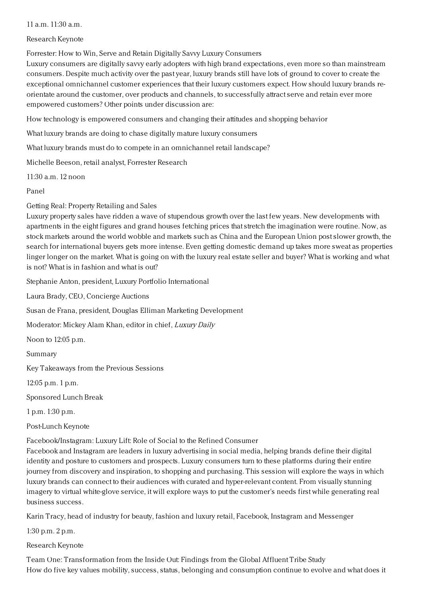## 11 a.m. 11:30 a.m.

## Research Keynote

Forrester: How to Win, Serve and Retain Digitally Savvy Luxury Consumers

Luxury consumers are digitally savvy early adopters with high brand expectations, even more so than mainstream consumers. Despite much activity over the past year, luxury brands still have lots of ground to cover to create the exceptional omnichannel customer experiences that their luxury customers expect. How should luxury brands reorientate around the customer, over products and channels, to successfully attract serve and retain ever more empowered customers? Other points under discussion are:

How technology is empowered consumers and changing their attitudes and shopping behavior

What luxury brands are doing to chase digitally mature luxury consumers

What luxury brands must do to compete in an omnichannel retail landscape?

Michelle Beeson, retail analyst, Forrester Research

11:30 a.m. 12 noon

Panel

Getting Real: Property Retailing and Sales

Luxury property sales have ridden a wave of stupendous growth over the last few years. New developments with apartments in the eight figures and grand houses fetching prices that stretch the imagination were routine. Now, as stock markets around the world wobble and markets such as China and the European Union post slower growth, the search for international buyers gets more intense. Even getting domestic demand up takes more sweat as properties linger longer on the market. What is going on with the luxury real estate seller and buyer? What is working and what is not? What is in fashion and what is out?

Stephanie Anton, president, Luxury Portfolio International

Laura Brady, CEO, Concierge Auctions

Susan de Frana, president, Douglas Elliman Marketing Development

Moderator: Mickey Alam Khan, editor in chief, Luxury Daily

Noon to 12:05 p.m.

Summary

Key Takeaways from the Previous Sessions

12:05 p.m. 1 p.m.

Sponsored Lunch Break

1 p.m. 1:30 p.m.

Post-Lunch Keynote

Facebook/Instagram: Luxury Lift: Role of Social to the Refined Consumer

Facebook and Instagram are leaders in luxury advertising in social media, helping brands define their digital identity and posture to customers and prospects. Luxury consumers turn to these platforms during their entire journey from discovery and inspiration, to shopping and purchasing. This session will explore the ways in which luxury brands can connect to their audiences with curated and hyper-relevant content. From visually stunning imagery to virtual white-glove service, it will explore ways to put the customer's needs first while generating real business success.

Karin Tracy, head of industry for beauty, fashion and luxury retail, Facebook, Instagram and Messenger

1:30 p.m. 2 p.m.

## Research Keynote

Team One: Transformation from the Inside Out: Findings from the Global Affluent Tribe Study How do five key values mobility, success, status, belonging and consumption continue to evolve and what does it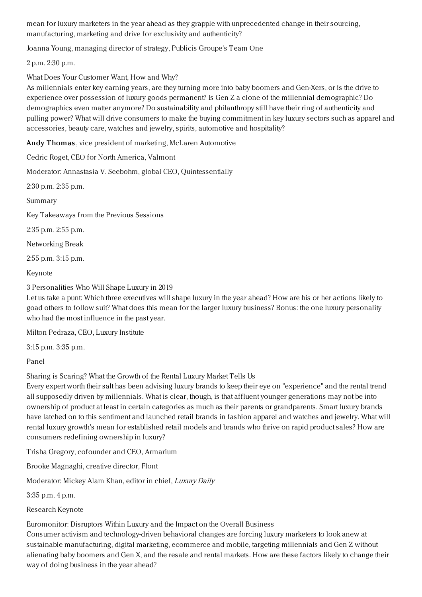mean for luxury marketers in the year ahead as they grapple with unprecedented change in their sourcing, manufacturing, marketing and drive for exclusivity and authenticity?

Joanna Young, managing director of strategy, Publicis Groupe's Team One

2 p.m. 2:30 p.m.

What Does Your Customer Want, How and Why?

As millennials enter key earning years, are they turning more into baby boomers and Gen-Xers, or is the drive to experience over possession of luxury goods permanent? Is Gen Z a clone of the millennial demographic? Do demographics even matter anymore? Do sustainability and philanthropy still have their ring of authenticity and pulling power? What will drive consumers to make the buying commitment in key luxury sectors such as apparel and accessories, beauty care, watches and jewelry, spirits, automotive and hospitality?

Andy Thomas, vice president of marketing, McLaren Automotive

Cedric Roget, CEO for North America, Valmont

Moderator: Annastasia V. Seebohm, global CEO, Quintessentially

2:30 p.m. 2:35 p.m.

Summary

Key Takeaways from the Previous Sessions

2:35 p.m. 2:55 p.m.

Networking Break

2:55 p.m. 3:15 p.m.

Keynote

3 Personalities Who Will Shape Luxury in 2019

Let us take a punt: Which three executives will shape luxury in the year ahead? How are his or her actions likely to goad others to follow suit? What does this mean for the larger luxury business? Bonus: the one luxury personality who had the most influence in the past year.

Milton Pedraza, CEO, Luxury Institute

3:15 p.m. 3:35 p.m.

Panel

Sharing is Scaring? What the Growth of the Rental Luxury Market Tells Us

Every expert worth their salt has been advising luxury brands to keep their eye on "experience" and the rental trend all supposedly driven by millennials. What is clear, though, is that affluent younger generations may not be into ownership of product at least in certain categories as much as their parents or grandparents. Smart luxury brands have latched on to this sentiment and launched retail brands in fashion apparel and watches and jewelry. What will rental luxury growth's mean for established retail models and brands who thrive on rapid product sales? How are consumers redefining ownership in luxury?

Trisha Gregory, cofounder and CEO, Armarium

Brooke Magnaghi, creative director, Flont

Moderator: Mickey Alam Khan, editor in chief, Luxury Daily

3:35 p.m. 4 p.m.

Research Keynote

Euromonitor: Disruptors Within Luxury and the Impact on the Overall Business

Consumer activism and technology-driven behavioral changes are forcing luxury marketers to look anew at sustainable manufacturing, digital marketing, ecommerce and mobile, targeting millennials and Gen Z without alienating baby boomers and Gen X, and the resale and rental markets. How are these factors likely to change their way of doing business in the year ahead?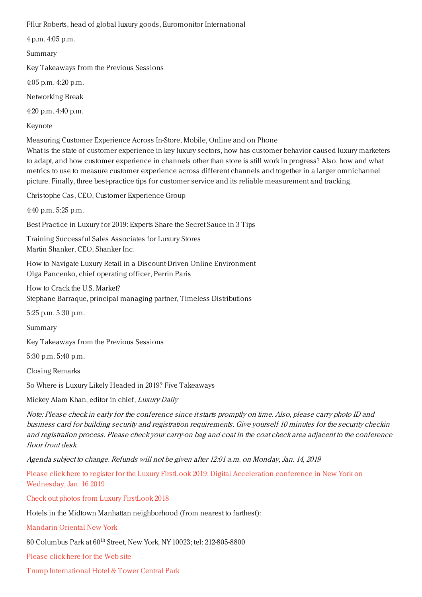Fflur Roberts, head of global luxury goods, Euromonitor International

4 p.m. 4:05 p.m.

Summary

Key Takeaways from the Previous Sessions

4:05 p.m. 4:20 p.m.

Networking Break

4:20 p.m. 4:40 p.m.

Keynote

Measuring Customer Experience Across In-Store, Mobile, Online and on Phone

What is the state of customer experience in key luxury sectors, how has customer behavior caused luxury marketers to adapt, and how customer experience in channels other than store is still work in progress? Also, how and what metrics to use to measure customer experience across different channels and together in a larger omnichannel picture. Finally, three best-practice tips for customer service and its reliable measurement and tracking.

Christophe Cas, CEO, Customer Experience Group

4:40 p.m. 5:25 p.m.

Best Practice in Luxury for 2019: Experts Share the Secret Sauce in 3 Tips

Training Successful Sales Associates for Luxury Stores Martin Shanker, CEO, Shanker Inc.

How to Navigate Luxury Retail in a Discount-Driven Online Environment Olga Pancenko, chief operating officer, Perrin Paris

How to Crack the U.S. Market? Stephane Barraque, principal managing partner, Timeless Distributions

5:25 p.m. 5:30 p.m.

Summary

Key Takeaways from the Previous Sessions

5:30 p.m. 5:40 p.m.

Closing Remarks

So Where is Luxury Likely Headed in 2019? Five Takeaways

Mickey Alam Khan, editor in chief, Luxury Daily

Note: Please check in early for the conference since itstarts promptly on time. Also, please carry photo ID and business card for building security and registration requirements. Give yourself 10 minutes for the security checkin and registration process. Please check your carry-on bag and coat in the coat check area adjacent to the conference floor front desk.

Agenda subject to change. Refunds will not be given after 12:01 a.m. on Monday, Jan. 14, 2019

Please click here to register for the Luxury FirstLook 2019: Digital [Acceleration](https://www.luxurydaily.com/conference-page/) conference in New York on Wednesday, Jan. 16 2019

Check out photos from Luxury [FirstLook](https://www.luxurydaily.com/photos-from-luxury-firstlook-2018/) 2018

Hotels in the Midtown Manhattan neighborhood (from nearest to farthest):

[Mandarin](http://www.mandarinoriental.com/newyork/?htl=MONYC&eng=google&src=local) Oriental New York

80 Columbus Park at 60<sup>th</sup> Street, New York, NY 10023; tel: 212-805-8800

[Please](http://www.mandarinoriental.com/newyork/?htl=MONYC&eng=google&src=local) click here for the Web site

Trump [International](https://www.trumphotels.com/central-park) Hotel & Tower Central Park